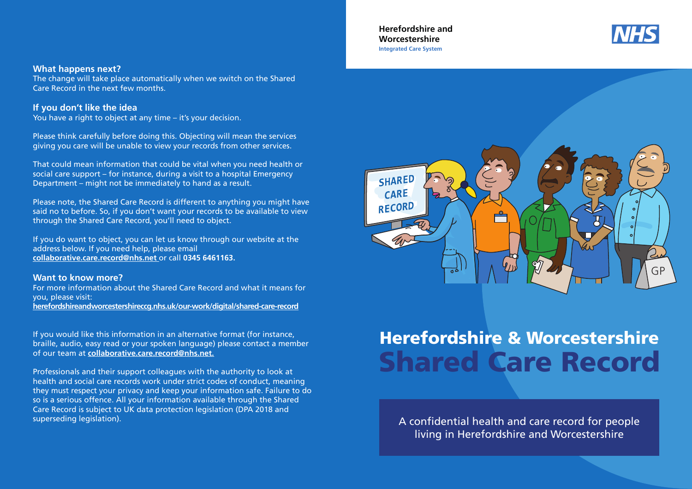Herefordshire and Worcestershire Integrated Care System



### What happens next?

The change will take place automatically when we switch on the Shared Care Record in the next few months.

## If you don't like the idea

You have a right to object at any time – it's your decision.

Please think carefully before doing this. Objecting will mean the services giving you care will be unable to view your records from other services.

That could mean information that could be vital when you need health or social care support – for instance, during a visit to a hospital Emergency Department – might not be immediately to hand as a result.

Please note, the Shared Care Record is different to anything you might have said no to before. So, if you don't want your records to be available to view through the Shared Care Record, you'll need to object.

If you do want to object, you can let us know through our website at the address below. If you need help, please email collaborative.care.record@nhs.net or call 0345 6461163.

#### Want to know more?

For more information about the Shared Care Record and what it means for you, please visit: herefordshireandworcestershireccg.nhs.uk/our-work/digital/shared-care-record

If you would like this information in an alternative format (for instance, braille, audio, easy read or your spoken language) please contact a member of our team at collaborative.care.record@nhs.net.

Professionals and their support colleagues with the authority to look at health and social care records work under strict codes of conduct, meaning they must respect your privacy and keep your information safe. Failure to do so is a serious offence. All your information available through the Shared Care Record is subject to UK data protection legislation (DPA 2018 and superseding legislation).



# Herefordshire & Worcestershire Shared Care Record

A confidential health and care record for people living in Herefordshire and Worcestershire